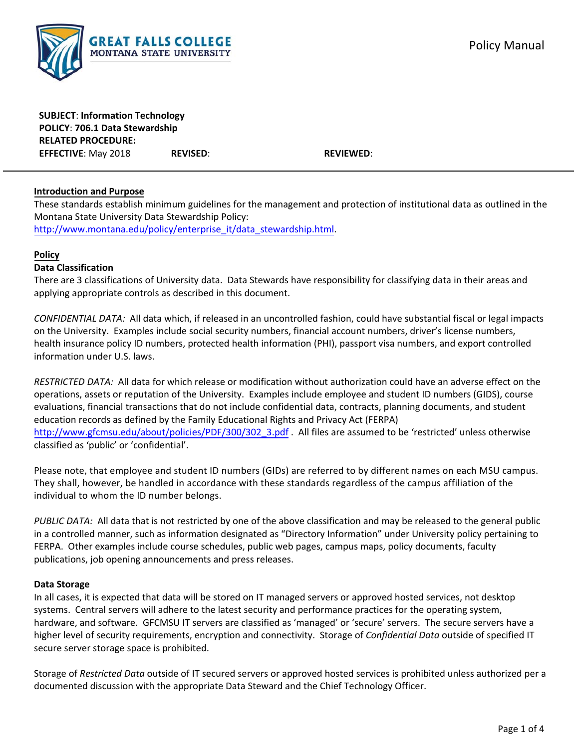**SUBJECT**: **Information Technology POLICY**: **706.1 Data Stewardship RELATED PROCEDURE: EFFECTIVE**: May 2018 **REVISED**: **REVIEWED**:

### **Introduction and Purpose**

These standards establish minimum guidelines for the management and protection of institutional data as outlined in the Montana State University Data Stewardship Policy: http://www.montana.edu/policy/enterprise\_it/data\_stewardship.html.

### **Policy**

### **Data Classification**

There are 3 classifications of University data. Data Stewards have responsibility for classifying data in their areas and applying appropriate controls as described in this document.

*CONFIDENTIAL DATA:* All data which, if released in an uncontrolled fashion, could have substantial fiscal or legal impacts on the University. Examples include social security numbers, financial account numbers, driver's license numbers, health insurance policy ID numbers, protected health information (PHI), passport visa numbers, and export controlled information under U.S. laws.

*RESTRICTED DATA:* All data for which release or modification without authorization could have an adverse effect on the operations, assets or reputation of the University. Examples include employee and student ID numbers (GIDS), course evaluations, financial transactions that do not include confidential data, contracts, planning documents, and student education records as defined by the Family Educational Rights and Privacy Act (FERPA) http://www.gfcmsu.edu/about/policies/PDF/300/302\_3.pdf . All files are assumed to be 'restricted' unless otherwise classified as 'public' or 'confidential'.

Please note, that employee and student ID numbers (GIDs) are referred to by different names on each MSU campus. They shall, however, be handled in accordance with these standards regardless of the campus affiliation of the individual to whom the ID number belongs.

*PUBLIC DATA:* All data that is not restricted by one of the above classification and may be released to the general public in a controlled manner, such as information designated as "Directory Information" under University policy pertaining to FERPA. Other examples include course schedules, public web pages, campus maps, policy documents, faculty publications, job opening announcements and press releases.

### **Data Storage**

In all cases, it is expected that data will be stored on IT managed servers or approved hosted services, not desktop systems. Central servers will adhere to the latest security and performance practices for the operating system, hardware, and software. GFCMSU IT servers are classified as 'managed' or 'secure' servers. The secure servers have a higher level of security requirements, encryption and connectivity. Storage of *Confidential Data* outside of specified IT secure server storage space is prohibited.

Storage of *Restricted Data* outside of IT secured servers or approved hosted services is prohibited unless authorized per a documented discussion with the appropriate Data Steward and the Chief Technology Officer.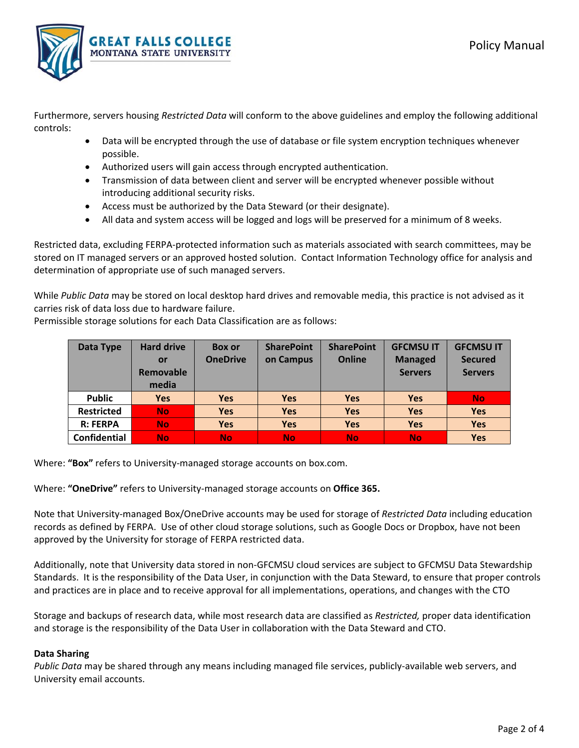

Furthermore, servers housing *Restricted Data* will conform to the above guidelines and employ the following additional controls:

- Data will be encrypted through the use of database or file system encryption techniques whenever possible.
- Authorized users will gain access through encrypted authentication.
- Transmission of data between client and server will be encrypted whenever possible without introducing additional security risks.
- Access must be authorized by the Data Steward (or their designate).
- All data and system access will be logged and logs will be preserved for a minimum of 8 weeks.

Restricted data, excluding FERPA‐protected information such as materials associated with search committees, may be stored on IT managed servers or an approved hosted solution. Contact Information Technology office for analysis and determination of appropriate use of such managed servers.

While *Public Data* may be stored on local desktop hard drives and removable media, this practice is not advised as it carries risk of data loss due to hardware failure.

Permissible storage solutions for each Data Classification are as follows:

| Data Type           | <b>Hard drive</b> | <b>Box or</b>   | <b>SharePoint</b> | <b>SharePoint</b> | <b>GFCMSU IT</b> | <b>GFCMSUIT</b> |
|---------------------|-------------------|-----------------|-------------------|-------------------|------------------|-----------------|
|                     | or                | <b>OneDrive</b> | on Campus         | <b>Online</b>     | <b>Managed</b>   | <b>Secured</b>  |
|                     | <b>Removable</b>  |                 |                   |                   | <b>Servers</b>   | <b>Servers</b>  |
|                     | media             |                 |                   |                   |                  |                 |
| <b>Public</b>       | <b>Yes</b>        | <b>Yes</b>      | <b>Yes</b>        | <b>Yes</b>        | <b>Yes</b>       | <b>No</b>       |
| <b>Restricted</b>   | <b>No</b>         | <b>Yes</b>      | <b>Yes</b>        | <b>Yes</b>        | <b>Yes</b>       | <b>Yes</b>      |
| <b>R: FERPA</b>     | <b>No</b>         | <b>Yes</b>      | <b>Yes</b>        | <b>Yes</b>        | <b>Yes</b>       | <b>Yes</b>      |
| <b>Confidential</b> | <b>No</b>         | <b>No</b>       | <b>No</b>         | <b>No</b>         | <b>No</b>        | <b>Yes</b>      |

Where: **"Box"** refers to University‐managed storage accounts on box.com.

Where: **"OneDrive"** refers to University‐managed storage accounts on **Office 365.**

Note that University‐managed Box/OneDrive accounts may be used for storage of *Restricted Data* including education records as defined by FERPA. Use of other cloud storage solutions, such as Google Docs or Dropbox, have not been approved by the University for storage of FERPA restricted data.

Additionally, note that University data stored in non‐GFCMSU cloud services are subject to GFCMSU Data Stewardship Standards. It is the responsibility of the Data User, in conjunction with the Data Steward, to ensure that proper controls and practices are in place and to receive approval for all implementations, operations, and changes with the CTO

Storage and backups of research data, while most research data are classified as *Restricted,* proper data identification and storage is the responsibility of the Data User in collaboration with the Data Steward and CTO.

### **Data Sharing**

*Public Data* may be shared through any means including managed file services, publicly‐available web servers, and University email accounts.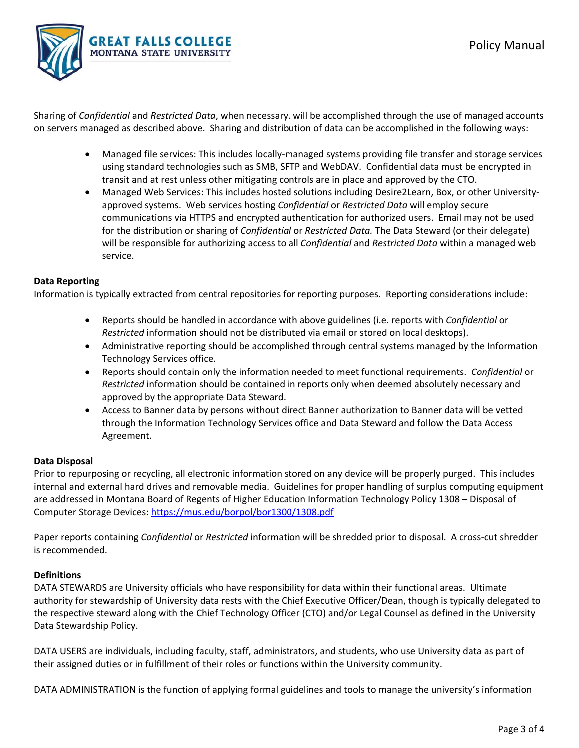

Sharing of *Confidential* and *Restricted Data*, when necessary, will be accomplished through the use of managed accounts on servers managed as described above. Sharing and distribution of data can be accomplished in the following ways:

- Managed file services: This includes locally-managed systems providing file transfer and storage services using standard technologies such as SMB, SFTP and WebDAV. Confidential data must be encrypted in transit and at rest unless other mitigating controls are in place and approved by the CTO.
- Managed Web Services: This includes hosted solutions including Desire2Learn, Box, or other Universityapproved systems. Web services hosting *Confidential* or *Restricted Data* will employ secure communications via HTTPS and encrypted authentication for authorized users. Email may not be used for the distribution or sharing of *Confidential* or *Restricted Data.* The Data Steward (or their delegate) will be responsible for authorizing access to all *Confidential* and *Restricted Data* within a managed web service.

### **Data Reporting**

Information is typically extracted from central repositories for reporting purposes. Reporting considerations include:

- Reports should be handled in accordance with above guidelines (i.e. reports with *Confidential* or *Restricted* information should not be distributed via email or stored on local desktops).
- Administrative reporting should be accomplished through central systems managed by the Information Technology Services office.
- Reports should contain only the information needed to meet functional requirements. *Confidential* or *Restricted* information should be contained in reports only when deemed absolutely necessary and approved by the appropriate Data Steward.
- Access to Banner data by persons without direct Banner authorization to Banner data will be vetted through the Information Technology Services office and Data Steward and follow the Data Access Agreement.

# **Data Disposal**

Prior to repurposing or recycling, all electronic information stored on any device will be properly purged. This includes internal and external hard drives and removable media. Guidelines for proper handling of surplus computing equipment are addressed in Montana Board of Regents of Higher Education Information Technology Policy 1308 – Disposal of Computer Storage Devices: https://mus.edu/borpol/bor1300/1308.pdf

Paper reports containing *Confidential* or *Restricted* information will be shredded prior to disposal. A cross‐cut shredder is recommended.

# **Definitions**

DATA STEWARDS are University officials who have responsibility for data within their functional areas. Ultimate authority for stewardship of University data rests with the Chief Executive Officer/Dean, though is typically delegated to the respective steward along with the Chief Technology Officer (CTO) and/or Legal Counsel as defined in the University Data Stewardship Policy.

DATA USERS are individuals, including faculty, staff, administrators, and students, who use University data as part of their assigned duties or in fulfillment of their roles or functions within the University community.

DATA ADMINISTRATION is the function of applying formal guidelines and tools to manage the university's information